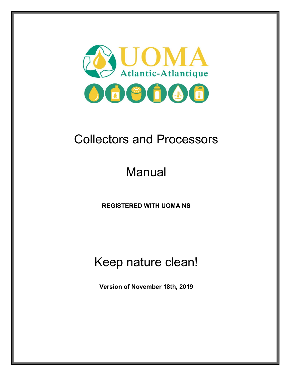

## Collectors and Processors

# Manual

**REGISTERED WITH UOMA NS** 

### Keep nature clean!

**Version of November 18th, 2019**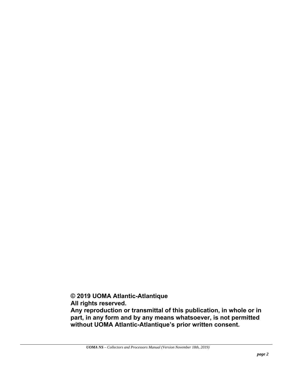**© 2019 UOMA Atlantic-Atlantique** 

 **All rights reserved.** 

 **Any reproduction or transmittal of this publication, in whole or in part, in any form and by any means whatsoever, is not permitted without UOMA Atlantic-Atlantique's prior written consent.**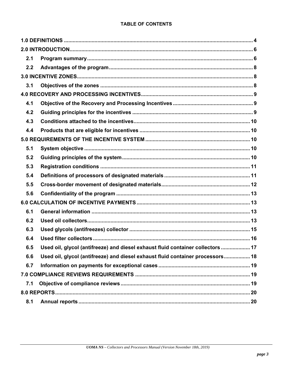#### **TABLE OF CONTENTS**

| 2.1 |                                                                                 |
|-----|---------------------------------------------------------------------------------|
| 2.2 |                                                                                 |
|     |                                                                                 |
| 3.1 |                                                                                 |
|     |                                                                                 |
| 4.1 |                                                                                 |
| 4.2 |                                                                                 |
| 4.3 |                                                                                 |
| 4.4 |                                                                                 |
|     |                                                                                 |
| 5.1 |                                                                                 |
| 5.2 |                                                                                 |
| 5.3 |                                                                                 |
| 5.4 |                                                                                 |
| 5.5 |                                                                                 |
| 5.6 |                                                                                 |
|     |                                                                                 |
| 6.1 |                                                                                 |
| 6.2 |                                                                                 |
| 6.3 |                                                                                 |
| 6.4 |                                                                                 |
| 6.5 | Used oil, glycol (antifreeze) and diesel exhaust fluid container collectors  17 |
| 6.6 | Used oil, glycol (antifreeze) and diesel exhaust fluid container processors 18  |
| 6.7 |                                                                                 |
|     |                                                                                 |
| 7.1 |                                                                                 |
|     |                                                                                 |
| 8.1 |                                                                                 |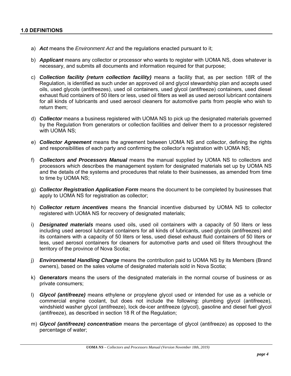- a) *Act* means the *Environment Act* and the regulations enacted pursuant to it;
- b) *Applicant* means any collector or processor who wants to register with UOMA NS, does whatever is necessary, and submits all documents and information required for that purpose;
- c) *Collection facility (return collection facility)* means a facility that, as per section 18R of the Regulation, is identified as such under an approved oil and glycol stewardship plan and accepts used oils, used glycols (antifreezes), used oil containers, used glycol (antifreeze) containers, used diesel exhaust fluid containers of 50 liters or less, used oil filters as well as used aerosol lubricant containers for all kinds of lubricants and used aerosol cleaners for automotive parts from people who wish to return them;
- d) *Collector* means a business registered with UOMA NS to pick up the designated materials governed by the Regulation from generators or collection facilities and deliver them to a processor registered with UOMA NS;
- e) *Collector Agreement* means the agreement between UOMA NS and collector, defining the rights and responsibilities of each party and confirming the collector's registration with UOMA NS;
- f) *Collectors and Processors Manual* means the manual supplied by UOMA NS to collectors and processors which describes the management system for designated materials set up by UOMA NS and the details of the systems and procedures that relate to their businesses, as amended from time to time by UOMA NS;
- g) *Collector Registration Application Form* means the document to be completed by businesses that apply to UOMA NS for registration as collector;
- h) *Collector return incentives* means the financial incentive disbursed by UOMA NS to collector registered with UOMA NS for recovery of designated materials;
- i) *Designated materials* means used oils, used oil containers with a capacity of 50 liters or less including used aerosol lubricant containers for all kinds of lubricants, used glycols (antifreezes) and its containers with a capacity of 50 liters or less, used diesel exhaust fluid containers of 50 liters or less, used aerosol containers for cleaners for automotive parts and used oil filters throughout the territory of the province of Nova Scotia;
- j) *Environmental Handling Charge* means the contribution paid to UOMA NS by its Members (Brand owners), based on the sales volume of designated materials sold in Nova Scotia;
- k) *Generators* means the users of the designated materials in the normal course of business or as private consumers;
- l) *Glycol (antifreeze)* means ethylene or propylene glycol used or intended for use as a vehicle or commercial engine coolant, but does not include the following: plumbing glycol (antifreeze), windshield washer glycol (antifreeze), lock de-icer antifreeze (glycol), gasoline and diesel fuel glycol (antifreeze), as described in section 18 R of the Regulation;
- m) *Glycol (antifreeze) concentration* means the percentage of glycol (antifreeze) as opposed to the percentage of water;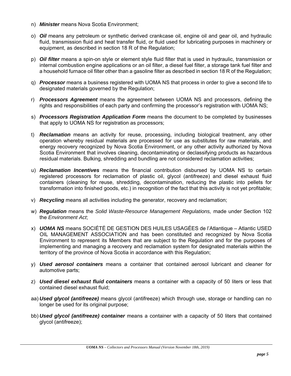- n) *Minister* means Nova Scotia Environment;
- o) *Oil* means any petroleum or synthetic derived crankcase oil, engine oil and gear oil, and hydraulic fluid, transmission fluid and heat transfer fluid, or fluid used for lubricating purposes in machinery or equipment, as described in section 18 R of the Regulation;
- p) *Oil filter* means a spin-on style or element style fluid filter that is used in hydraulic, transmission or internal combustion engine applications or an oil filter, a diesel fuel filter, a storage tank fuel filter and a household furnace oil filter other than a gasoline filter as described in section 18 R of the Regulation;
- q) *Processor* means a business registered with UOMA NS that process in order to give a second life to designated materials governed by the Regulation;
- r) *Processors Agreement* means the agreement between UOMA NS and processors, defining the rights and responsibilities of each party and confirming the processor's registration with UOMA NS;
- s) *Processors Registration Application Form* means the document to be completed by businesses that apply to UOMA NS for registration as processors;
- t) *Reclamation* means an activity for reuse, processing, including biological treatment, any other operation whereby residual materials are processed for use as substitutes for raw materials, and energy recovery recognized by Nova Scotia Environment, or any other activity authorized by Nova Scotia Environment that involves cleaning, decontaminating or declassifying products as hazardous residual materials. Bulking, shredding and bundling are not considered reclamation activities;
- u) *Reclamation Incentives* means the financial contribution disbursed by UOMA NS to certain registered processors for reclamation of plastic oil, glycol (antifreeze) and diesel exhaust fluid containers (cleaning for reuse, shredding, decontamination, reducing the plastic into pellets for transformation into finished goods, etc.) in recognition of the fact that this activity is not yet profitable;
- v) *Recycling* means all activities including the generator, recovery and reclamation;
- w) *Regulation* means the *Solid Waste-Resource Management Regulations,* made under Section 102 the *Environment Act*;
- x) *UOMA NS* means SOCIÉTÉ DE GESTION DES HUILES USAGÉES de l'Atlantique Atlantic USED OIL MANAGEMENT ASSOCIATION and has been constituted and recognized by Nova Scotia Environment to represent its Members that are subject to the Regulation and for the purposes of implementing and managing a recovery and reclamation system for designated materials within the territory of the province of Nova Scotia in accordance with this Regulation;
- y) *Used aerosol containers* means a container that contained aerosol lubricant and cleaner for automotive parts;
- z) *Used diesel exhaust fluid containers* means a container with a capacity of 50 liters or less that contained diesel exhaust fluid;
- aa) *Used glycol (antifreeze)* means glycol (antifreeze) which through use, storage or handling can no longer be used for its original purpose;
- bb) *Used glycol (antifreeze) container* means a container with a capacity of 50 liters that contained glycol (antifreeze);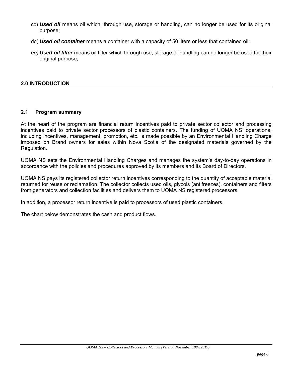- cc) *Used oil* means oil which, through use, storage or handling, can no longer be used for its original purpose;
- dd) *Used oil container* means a container with a capacity of 50 liters or less that contained oil;
- *ee) Used oil filter* means oil filter which through use, storage or handling can no longer be used for their original purpose;

#### **2.0 INTRODUCTION**

#### **2.1 Program summary**

At the heart of the program are financial return incentives paid to private sector collector and processing incentives paid to private sector processors of plastic containers. The funding of UOMA NS' operations, including incentives, management, promotion, etc. is made possible by an Environmental Handling Charge imposed on Brand owners for sales within Nova Scotia of the designated materials governed by the Regulation.

UOMA NS sets the Environmental Handling Charges and manages the system's day-to-day operations in accordance with the policies and procedures approved by its members and its Board of Directors.

UOMA NS pays its registered collector return incentives corresponding to the quantity of acceptable material returned for reuse or reclamation. The collector collects used oils, glycols (antifreezes), containers and filters from generators and collection facilities and delivers them to UOMA NS registered processors.

In addition, a processor return incentive is paid to processors of used plastic containers.

The chart below demonstrates the cash and product flows.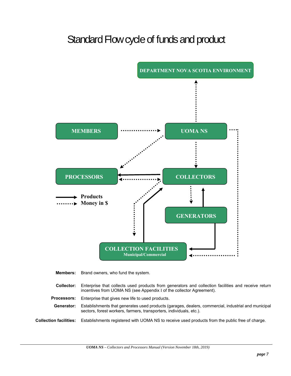### Standard Flow cycle of funds and product



**Members:** Brand owners, who fund the system.

- **Collector:** Enterprise that collects used products from generators and collection facilities and receive return incentives from UOMA NS (see Appendix I of the collector Agreement).
- **Processors:** Enterprise that gives new life to used products.

**Generator:** Establishments that generates used products (garages, dealers, commercial, industrial and municipal sectors, forest workers, farmers, transporters, individuals, etc.).

**Collection facilities:** Establishments registered with UOMA NS to receive used products from the public free of charge.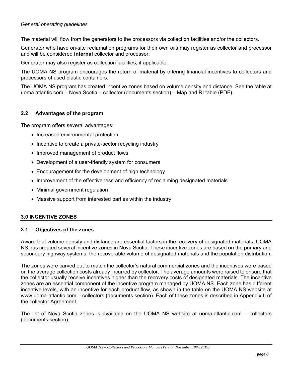#### *General operating guidelines*

The material will flow from the generators to the processors via collection facilities and/or the collectors.

Generator who have on-site reclamation programs for their own oils may register as collector and processor and will be considered **internal** collector and processor.

Generator may also register as collection facilities, if applicable.

The UOMA NS program encourages the return of material by offering financial incentives to collectors and processors of used plastic containers.

The UOMA NS program has created incentive zones based on volume density and distance. See the table at uoma.atlantic.com – Nova Scotia – collector (documents section) – Map and RI table (PDF).

#### **2.2 Advantages of the program**

The program offers several advantages:

- Increased environmental protection
- Incentive to create a private-sector recycling industry
- Improved management of product flows
- Development of a user-friendly system for consumers
- Encouragement for the development of high technology
- Improvement of the effectiveness and efficiency of reclaiming designated materials
- Minimal government regulation
- Massive support from interested parties within the industry

#### **3.0 INCENTIVE ZONES**

#### **3.1 Objectives of the zones**

Aware that volume density and distance are essential factors in the recovery of designated materials, UOMA NS has created several incentive zones in Nova Scotia. These incentive zones are based on the primary and secondary highway systems, the recoverable volume of designated materials and the population distribution.

The zones were carved out to match the collector's natural commercial zones and the incentives were based on the average collection costs already incurred by collector. The average amounts were raised to ensure that the collector usually receive incentives higher than the recovery costs of designated materials. The incentive zones are an essential component of the incentive program managed by UOMA NS. Each zone has different incentive levels, with an incentive for each product flow, as shown in the table on the UOMA NS website at www.uoma-atlantic.com – collectors (documents section). Each of these zones is described in Appendix II of the collector Agreement.

The list of Nova Scotia zones is available on the UOMA NS website at uoma.atlantic.com – collectors (documents section).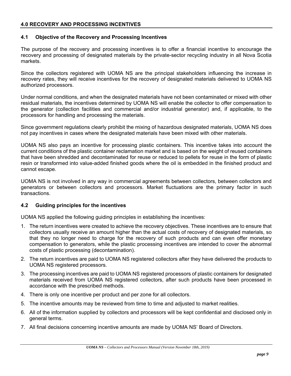#### **4.0 RECOVERY AND PROCESSING INCENTIVES**

#### **4.1 Objective of the Recovery and Processing Incentives**

The purpose of the recovery and processing incentives is to offer a financial incentive to encourage the recovery and processing of designated materials by the private-sector recycling industry in all Nova Scotia markets.

Since the collectors registered with UOMA NS are the principal stakeholders influencing the increase in recovery rates, they will receive incentives for the recovery of designated materials delivered to UOMA NS authorized processors.

Under normal conditions, and when the designated materials have not been contaminated or mixed with other residual materials, the incentives determined by UOMA NS will enable the collector to offer compensation to the generator (collection facilities and commercial and/or industrial generator) and, if applicable, to the processors for handling and processing the materials.

Since government regulations clearly prohibit the mixing of hazardous designated materials, UOMA NS does not pay incentives in cases where the designated materials have been mixed with other materials.

UOMA NS also pays an incentive for processing plastic containers. This incentive takes into account the current conditions of the plastic container reclamation market and is based on the weight of reused containers that have been shredded and decontaminated for reuse or reduced to pellets for reuse in the form of plastic resin or transformed into value-added finished goods where the oil is embedded in the finished product and cannot escape.

UOMA NS is not involved in any way in commercial agreements between collectors, between collectors and generators or between collectors and processors. Market fluctuations are the primary factor in such transactions.

#### **4.2 Guiding principles for the incentives**

UOMA NS applied the following guiding principles in establishing the incentives:

- 1. The return incentives were created to achieve the recovery objectives. These incentives are to ensure that collectors usually receive an amount higher than the actual costs of recovery of designated materials, so that they no longer need to charge for the recovery of such products and can even offer monetary compensation to generators, while the plastic processing incentives are intended to cover the abnormal costs of plastic processing (decontamination).
- 2. The return incentives are paid to UOMA NS registered collectors after they have delivered the products to UOMA NS registered processors.
- 3. The processing incentives are paid to UOMA NS registered processors of plastic containers for designated materials received from UOMA NS registered collectors, after such products have been processed in accordance with the prescribed methods.
- 4. There is only one incentive per product and per zone for all collectors.
- 5. The incentive amounts may be reviewed from time to time and adjusted to market realities.
- 6. All of the information supplied by collectors and processors will be kept confidential and disclosed only in general terms.
- 7. All final decisions concerning incentive amounts are made by UOMA NS' Board of Directors.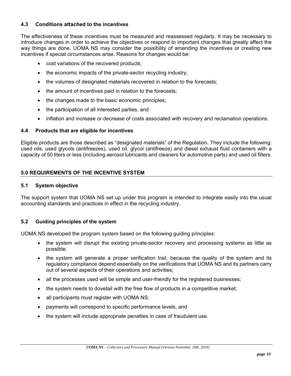#### **4.3 Conditions attached to the incentives**

The effectiveness of these incentives must be measured and reassessed regularly. It may be necessary to introduce changes in order to achieve the objectives or respond to important changes that greatly affect the way things are done. UOMA NS may consider the possibility of amending the incentives or creating new incentives if special circumstances arise. Reasons for changes would be:

- cost variations of the recovered products;
- the economic impacts of the private-sector recycling industry;
- the volumes of designated materials recovered in relation to the forecasts;
- the amount of incentives paid in relation to the forecasts;
- the changes made to the basic economic principles;
- the participation of all interested parties, and
- inflation and increase or decrease of costs associated with recovery and reclamation operations.

#### **4.4 Products that are eligible for incentives**

Eligible products are those described as "designated materials" of the Regulation**.** They include the following: used oils, used glycols (antifreezes), used oil, glycol (antifreeze) and diesel exhaust fluid containers with a capacity of 50 liters or less (including aerosol lubricants and cleaners for automotive parts) and used oil filters.

#### **5.0 REQUIREMENTS OF THE INCENTIVE SYSTEM**

#### **5.1 System objective**

The support system that UOMA NS set up under this program is intended to integrate easily into the usual accounting standards and practices in effect in the recycling industry.

#### **5.2 Guiding principles of the system**

UOMA NS developed the program system based on the following guiding principles:

- the system will disrupt the existing private-sector recovery and processing systems as little as possible;
- the system will generate a proper verification trail, because the quality of the system and its regulatory compliance depend essentially on the verifications that UOMA NS and its partners carry out of several aspects of their operations and activities;
- all the processes used will be simple and user-friendly for the registered businesses;
- $\bullet$  the system needs to dovetail with the free flow of products in a competitive market;
- all participants must register with UOMA NS;
- payments will correspond to specific performance levels, and
- the system will include appropriate penalties in case of fraudulent use.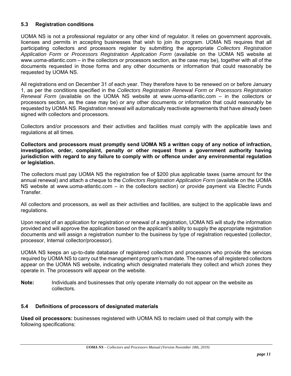#### **5.3 Registration conditions**

UOMA NS is not a professional regulator or any other kind of regulator. It relies on government approvals, licenses and permits in accepting businesses that wish to join its program. UOMA NS requires that all participating collectors and processors register by submitting the appropriate *Collectors Registration Application Form* or *Processors Registration Application Form* (available on the UOMA NS website at www.uoma-atlantic.com – in the collectors or processors section, as the case may be), together with all of the documents requested in those forms and any other documents or information that could reasonably be requested by UOMA NS.

All registrations end on December 31 of each year. They therefore have to be renewed on or before January 1, as per the conditions specified in the *Collectors Registration Renewal Form* or *Processors Registration Renewal Form* (available on the UOMA NS website at www.uoma-atlantic.com – in the collectors or processors section, as the case may be) or any other documents or information that could reasonably be requested by UOMA NS. Registration renewal will automatically reactivate agreements that have already been signed with collectors and processors.

Collectors and/or processors and their activities and facilities must comply with the applicable laws and regulations at all times.

**Collectors and processors must promptly send UOMA NS a written copy of any notice of infraction, investigation, order, complaint, penalty or other request from a government authority having jurisdiction with regard to any failure to comply with or offence under any environmental regulation or legislation.** 

The collectors must pay UOMA NS the registration fee of \$200 plus applicable taxes (same amount for the annual renewal) and attach a cheque to the *Collectors Registration Application Form* (available on the UOMA NS website at www.uoma-atlantic.com – in the collectors section) or provide payment via Electric Funds Transfer.

All collectors and processors, as well as their activities and facilities, are subject to the applicable laws and regulations.

Upon receipt of an application for registration or renewal of a registration, UOMA NS will study the information provided and will approve the application based on the applicant's ability to supply the appropriate registration documents and will assign a registration number to the business by type of registration requested (collector, processor, Internal collector/processor).

UOMA NS keeps an up-to-date database of registered collectors and processors who provide the services required by UOMA NS to carry out the management program's mandate. The names of all registered collectors appear on the UOMA NS website, indicating which designated materials they collect and which zones they operate in. The processors will appear on the website.

**Note:** Individuals and businesses that only operate internally do not appear on the website as collectors.

#### **5.4 Definitions of processors of designated materials**

**Used oil processors:** businesses registered with UOMA NS to reclaim used oil that comply with the following specifications: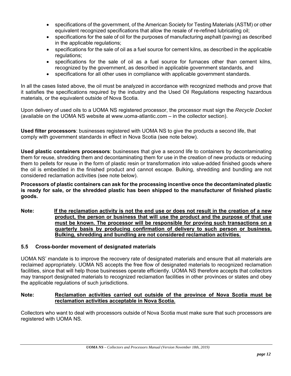- specifications of the government, of the American Society for Testing Materials (ASTM) or other equivalent recognized specifications that allow the resale of re-refined lubricating oil;
- specifications for the sale of oil for the purposes of manufacturing asphalt (paving) as described in the applicable regulations;
- specifications for the sale of oil as a fuel source for cement kilns, as described in the applicable regulations;
- specifications for the sale of oil as a fuel source for furnaces other than cement kilns, recognized by the government, as described in applicable government standards, and
- specifications for all other uses in compliance with applicable government standards.

In all the cases listed above, the oil must be analyzed in accordance with recognized methods and prove that it satisfies the specifications required by the industry and the Used Oil Regulations respecting hazardous materials, or the equivalent outside of Nova Scotia.

Upon delivery of used oils to a UOMA NS registered processor, the processor must sign the *Recycle Docket*  (available on the UOMA NS website at www.uoma-atlantic.com – in the collector section).

**Used filter processors**: businesses registered with UOMA NS to give the products a second life, that comply with government standards in effect in Nova Scotia (see note below).

**Used plastic containers processors**: businesses that give a second life to containers by decontaminating them for reuse, shredding them and decontaminating them for use in the creation of new products or reducing them to pellets for reuse in the form of plastic resin or transformation into value-added finished goods where the oil is embedded in the finished product and cannot escape. Bulking, shredding and bundling are not considered reclamation activities (see note below).

**Processors of plastic containers can ask for the processing incentive once the decontaminated plastic is ready for sale, or the shredded plastic has been shipped to the manufacturer of finished plastic goods.** 

**Note: If the reclamation activity is not the end use or does not result in the creation of a new product, the person or business that will use the product and the purpose of that use must be known. The processor will be responsible for proving such transactions on a quarterly basis by producing confirmation of delivery to such person or business. Bulking, shredding and bundling are not considered reclamation activities.** 

#### **5.5 Cross-border movement of designated materials**

UOMA NS' mandate is to improve the recovery rate of designated materials and ensure that all materials are reclaimed appropriately. UOMA NS accepts the free flow of designated materials to recognized reclamation facilities, since that will help those businesses operate efficiently. UOMA NS therefore accepts that collectors may transport designated materials to recognized reclamation facilities in other provinces or states and obey the applicable regulations of such jurisdictions.

#### **Note: Reclamation activities carried out outside of the province of Nova Scotia must be reclamation activities acceptable in Nova Scotia.**

Collectors who want to deal with processors outside of Nova Scotia must make sure that such processors are registered with UOMA NS.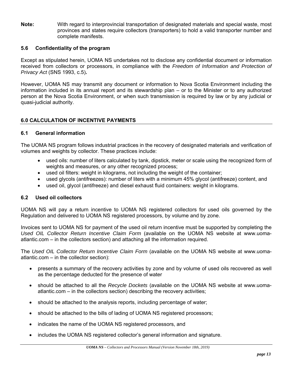**Note:** With regard to interprovincial transportation of designated materials and special waste, most provinces and states require collectors (transporters) to hold a valid transporter number and complete manifests.

#### **5.6 Confidentiality of the program**

Except as stipulated herein, UOMA NS undertakes not to disclose any confidential document or information received from collectors or processors, in compliance with the *Freedom of Information and Protection of Privacy Act* (SNS 1993, c.5)**.** 

However, UOMA NS may transmit any document or information to Nova Scotia Environment including the information included in its annual report and its stewardship plan – or to the Minister or to any authorized person at the Nova Scotia Environment, or when such transmission is required by law or by any judicial or quasi-judicial authority.

#### **6.0 CALCULATION OF INCENTIVE PAYMENTS**

#### **6.1 General information**

The UOMA NS program follows industrial practices in the recovery of designated materials and verification of volumes and weights by collector. These practices include:

- used oils: number of liters calculated by tank, dipstick, meter or scale using the recognized form of weights and measures, or any other recognized process;
- used oil filters: weight in kilograms, not including the weight of the container;
- used glycols (antifreezes): number of liters with a minimum 45% glycol (antifreeze) content, and
- used oil, glycol (antifreeze) and diesel exhaust fluid containers: weight in kilograms.

#### **6.2 Used oil collectors**

UOMA NS will pay a return incentive to UOMA NS registered collectors for used oils governed by the Regulation and delivered to UOMA NS registered processors, by volume and by zone.

Invoices sent to UOMA NS for payment of the used oil return incentive must be supported by completing the *Used OIL Collector Return Incentive Claim Form* (available on the UOMA NS website at www.uomaatlantic.com – in the collectors section) and attaching all the information required.

The *Used OIL Collector Return Incentive Claim Form* (available on the UOMA NS website at www.uomaatlantic.com – in the collector section):

- presents a summary of the recovery activities by zone and by volume of used oils recovered as well as the percentage deducted for the presence of water
- should be attached to all the *Recycle Dockets* (available on the UOMA NS website at www.uomaatlantic.com – in the collectors section) describing the recovery activities;
- should be attached to the analysis reports, including percentage of water;
- should be attached to the bills of lading of UOMA NS registered processors;
- indicates the name of the UOMA NS registered processors, and
- includes the UOMA NS registered collector's general information and signature.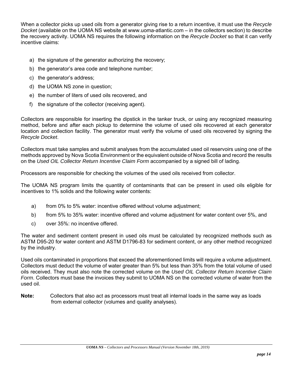When a collector picks up used oils from a generator giving rise to a return incentive, it must use the *Recycle Docket* (available on the UOMA NS website at www.uoma-atlantic.com – in the collectors section) to describe the recovery activity. UOMA NS requires the following information on the *Recycle Docket* so that it can verify incentive claims:

- a) the signature of the generator authorizing the recovery;
- b) the generator's area code and telephone number;
- c) the generator's address;
- d) the UOMA NS zone in question;
- e) the number of liters of used oils recovered, and
- f) the signature of the collector (receiving agent).

Collectors are responsible for inserting the dipstick in the tanker truck, or using any recognized measuring method, before and after each pickup to determine the volume of used oils recovered at each generator location and collection facility. The generator must verify the volume of used oils recovered by signing the *Recycle Docket*.

Collectors must take samples and submit analyses from the accumulated used oil reservoirs using one of the methods approved by Nova Scotia Environment or the equivalent outside of Nova Scotia and record the results on the *Used OIL Collector Return Incentive Claim Form* accompanied by a signed bill of lading.

Processors are responsible for checking the volumes of the used oils received from collector.

The UOMA NS program limits the quantity of contaminants that can be present in used oils eligible for incentives to 1% solids and the following water contents:

- a) from 0% to 5% water: incentive offered without volume adjustment;
- b) from 5% to 35% water: incentive offered and volume adjustment for water content over 5%, and
- c) over 35%: no incentive offered.

The water and sediment content present in used oils must be calculated by recognized methods such as ASTM D95-20 for water content and ASTM D1796-83 for sediment content, or any other method recognized by the industry.

Used oils contaminated in proportions that exceed the aforementioned limits will require a volume adjustment. Collectors must deduct the volume of water greater than 5% but less than 35% from the total volume of used oils received. They must also note the corrected volume on the *Used OIL Collector Return Incentive Claim Form*. Collectors must base the invoices they submit to UOMA NS on the corrected volume of water from the used oil.

**Note:**Collectors that also act as processors must treat all internal loads in the same way as loads from external collector (volumes and quality analyses).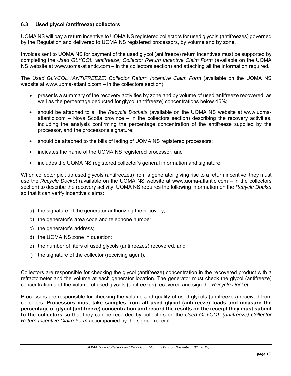#### **6.3 Used glycol (antifreeze) collectors**

UOMA NS will pay a return incentive to UOMA NS registered collectors for used glycols (antifreezes) governed by the Regulation and delivered to UOMA NS registered processors, by volume and by zone.

Invoices sent to UOMA NS for payment of the used glycol (antifreeze) return incentives must be supported by completing the *Used GLYCOL (antifreeze) Collector Return Incentive Claim Form (available on the UOMA* NS website at www.uoma-atlantic.com – in the collectors section) and attaching all the information required.

The *Used GLYCOL (ANTIFREEZE) Collector Return Incentive Claim Form* (available on the UOMA NS website at www.uoma-atlantic.com – in the collectors section):

- presents a summary of the recovery activities by zone and by volume of used antifreeze recovered, as well as the percentage deducted for glycol (antifreeze) concentrations below 45%;
- should be attached to all the *Recycle Dockets* (available on the UOMA NS website at www.uomaatlantic.com – Nova Scotia province – in the collectors section) describing the recovery activities, including the analysis confirming the percentage concentration of the antifreeze supplied by the processor, and the processor's signature;
- should be attached to the bills of lading of UOMA NS registered processors;
- indicates the name of the UOMA NS registered processor, and
- includes the UOMA NS registered collector's general information and signature.

When collector pick up used glycols (antifreezes) from a generator giving rise to a return incentive, they must use the *Recycle Docket* (available on the UOMA NS website at www.uoma-atlantic.com – in the collectors section) to describe the recovery activity. UOMA NS requires the following information on the *Recycle Docket*  so that it can verify incentive claims:

- a) the signature of the generator authorizing the recovery;
- b) the generator's area code and telephone number;
- c) the generator's address;
- d) the UOMA NS zone in question;
- e) the number of liters of used glycols (antifreezes) recovered, and
- f) the signature of the collector (receiving agent).

Collectors are responsible for checking the glycol (antifreeze) concentration in the recovered product with a refractometer and the volume at each generator location. The generator must check the glycol (antifreeze) concentration and the volume of used glycols (antifreezes) recovered and sign the *Recycle Docket*.

Processors are responsible for checking the volume and quality of used glycols (antifreezes) received from collectors. **Processors must take samples from all used glycol (antifreeze) loads and measure the percentage of glycol (antifreeze) concentration and record the results on the receipt they must submit to the collectors** so that they can be recorded by collectors on the *Used GLYCOL (antifreeze) Collector Return Incentive Claim Form* accompanied by the signed receipt.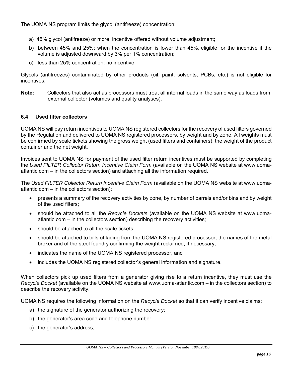The UOMA NS program limits the glycol (antifreeze) concentration:

- a) 45% glycol (antifreeze) or more: incentive offered without volume adjustment;
- b) between 45% and 25%: when the concentration is lower than 45%, eligible for the incentive if the volume is adjusted downward by 3% per 1% concentration;
- c) less than 25% concentration: no incentive.

Glycols (antifreezes) contaminated by other products (oil, paint, solvents, PCBs, etc.) is not eligible for incentives.

**Note:**Collectors that also act as processors must treat all internal loads in the same way as loads from external collector (volumes and quality analyses).

#### **6.4 Used filter collectors**

UOMA NS will pay return incentives to UOMA NS registered collectors for the recovery of used filters governed by the Regulation and delivered to UOMA NS registered processors, by weight and by zone. All weights must be confirmed by scale tickets showing the gross weight (used filters and containers), the weight of the product container and the net weight.

Invoices sent to UOMA NS for payment of the used filter return incentives must be supported by completing the *Used FILTER Collector Return Incentive Claim Form* (available on the UOMA NS website at www.uomaatlantic.com – in the collectors section) and attaching all the information required.

The *Used FILTER Collector Return Incentive Claim Form* (available on the UOMA NS website at www.uomaatlantic.com – in the collectors section):

- presents a summary of the recovery activities by zone, by number of barrels and/or bins and by weight of the used filters;
- should be attached to all the *Recycle Dockets* (available on the UOMA NS website at www.uomaatlantic.com – in the collectors section) describing the recovery activities;
- should be attached to all the scale tickets:
- should be attached to bills of lading from the UOMA NS registered processor, the names of the metal broker and of the steel foundry confirming the weight reclaimed, if necessary;
- indicates the name of the UOMA NS registered processor, and
- includes the UOMA NS registered collector's general information and signature.

When collectors pick up used filters from a generator giving rise to a return incentive, they must use the *Recycle Docket* (available on the UOMA NS website at www.uoma-atlantic.com – in the collectors section) to describe the recovery activity.

UOMA NS requires the following information on the *Recycle Docket* so that it can verify incentive claims:

- a) the signature of the generator authorizing the recovery;
- b) the generator's area code and telephone number;
- c) the generator's address;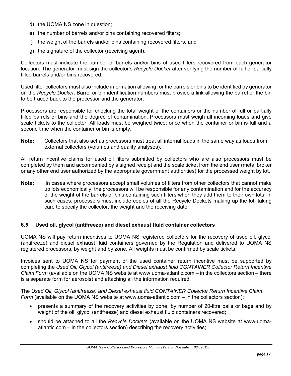- d) the UOMA NS zone in question;
- e) the number of barrels and/or bins containing recovered filters;
- f) the weight of the barrels and/or bins containing recovered filters, and
- g) the signature of the collector (receiving agent).

Collectors must indicate the number of barrels and/or bins of used filters recovered from each generator location. The generator must sign the collector's *Recycle Docket* after verifying the number of full or partially filled barrels and/or bins recovered.

Used filter collectors must also include information allowing for the barrels or bins to be identified by generator on the *Recycle Docket*. Barrel or bin identification numbers must provide a link allowing the barrel or the bin to be traced back to the processor and the generator.

Processors are responsible for checking the total weight of the containers or the number of full or partially filled barrels or bins and the degree of contamination. Processors must weigh all incoming loads and give scale tickets to the collector. All loads must be weighed twice: once when the container or bin is full and a second time when the container or bin is empty.

**Note:** Collectors that also act as processors must treat all internal loads in the same way as loads from external collectors (volumes and quality analyses).

All return incentive claims for used oil filters submitted by collectors who are also processors must be completed by them and accompanied by a signed receipt and the scale ticket from the end user (metal broker or any other end user authorized by the appropriate government authorities) for the processed weight by lot.

**Note:** In cases where processors accept small volumes of filters from other collectors that cannot make up lots economically, the processors will be responsible for any contamination and for the accuracy of the weight of the barrels or bins containing such filters when they add them to their own lots. In such cases, processors must include copies of all the Recycle Dockets making up the lot, taking care to specify the collector, the weight and the receiving date.

#### **6.5 Used oil, glycol (antifreeze) and diesel exhaust fluid container collectors**

UOMA NS will pay return incentives to UOMA NS registered collectors for the recovery of used oil, glycol (antifreeze) and diesel exhaust fluid containers governed by the Regulation and delivered to UOMA NS registered processors, by weight and by zone. All weights must be confirmed by scale tickets.

Invoices sent to UOMA NS for payment of the used container return incentive must be supported by completing the *Used Oil, Glycol (antifreeze) and Diesel exhaust fluid CONTAINER Collector Return Incentive Claim Form* (available on the UOMA NS website at www.uoma-atlantic.com – in the collectors section – there is a separate form for aerosols) and attaching all the information required.

The *Used Oil, Glycol (antifreeze) and Diesel exhaust fluid CONTAINER Collector Return Incentive Claim Form* (available on the UOMA NS website at www.uoma-atlantic.com – in the collectors section):

- presents a summary of the recovery activities by zone, by number of 20-litre pails or bags and by weight of the oil, glycol (antifreeze) and diesel exhaust fluid containers recovered;
- should be attached to all the *Recycle Dockets* (available on the UOMA NS website at www.uomaatlantic.com – in the collectors section) describing the recovery activities;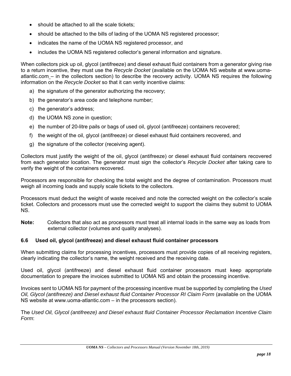- should be attached to all the scale tickets:
- should be attached to the bills of lading of the UOMA NS registered processor;
- indicates the name of the UOMA NS registered processor, and
- includes the UOMA NS registered collector's general information and signature.

When collectors pick up oil, glycol (antifreeze) and diesel exhaust fluid containers from a generator giving rise to a return incentive, they must use the *Recycle Docket* (available on the UOMA NS website at www.uomaatlantic.com – in the collectors section) to describe the recovery activity. UOMA NS requires the following information on the *Recycle Docket* so that it can verity incentive claims:

- a) the signature of the generator authorizing the recovery;
- b) the generator's area code and telephone number;
- c) the generator's address;
- d) the UOMA NS zone in question;
- e) the number of 20-litre pails or bags of used oil, glycol (antifreeze) containers recovered;
- f) the weight of the oil, glycol (antifreeze) or diesel exhaust fluid containers recovered, and
- g) the signature of the collector (receiving agent).

Collectors must justify the weight of the oil, glycol (antifreeze) or diesel exhaust fluid containers recovered from each generator location. The generator must sign the collector's *Recycle Docket* after taking care to verify the weight of the containers recovered.

Processors are responsible for checking the total weight and the degree of contamination. Processors must weigh all incoming loads and supply scale tickets to the collectors.

Processors must deduct the weight of waste received and note the corrected weight on the collector's scale ticket. Collectors and processors must use the corrected weight to support the claims they submit to UOMA NS.

**Note:** Collectors that also act as processors must treat all internal loads in the same way as loads from external collector (volumes and quality analyses).

#### **6.6 Used oil, glycol (antifreeze) and diesel exhaust fluid container processors**

When submitting claims for processing incentives, processors must provide copies of all receiving registers, clearly indicating the collector's name, the weight received and the receiving date.

Used oil, glycol (antifreeze) and diesel exhaust fluid container processors must keep appropriate documentation to prepare the invoices submitted to UOMA NS and obtain the processing incentive.

Invoices sent to UOMA NS for payment of the processing incentive must be supported by completing the *Used Oil, Glycol (antifreeze) and Diesel exhaust fluid Container Processor RI Claim Form* (available on the UOMA NS website at www.uoma-atlantic.com – in the processors section).

The *Used Oil, Glycol (antifreeze) and Diesel exhaust fluid Container Processor Reclamation Incentive Claim Form*: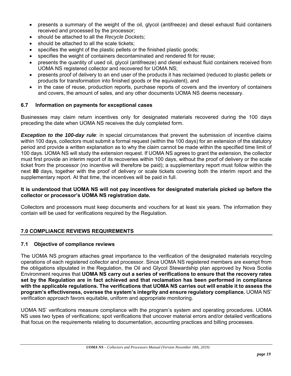- presents a summary of the weight of the oil, glycol (antifreeze) and diesel exhaust fluid containers received and processed by the processor;
- should be attached to all the *Recycle Dockets;*
- should be attached to all the scale tickets;
- specifies the weight of the plastic pellets or the finished plastic goods;
- specifies the weight of containers decontaminated and rendered fit for reuse;
- presents the quantity of used oil, glycol (antifreeze) and diesel exhaust fluid containers received from UOMA NS registered collector and recovered for UOMA NS;
- presents proof of delivery to an end user of the products it has reclaimed (reduced to plastic pellets or products for transformation into finished goods or the equivalent), and
- in the case of reuse, production reports, purchase reports of covers and the inventory of containers and covers, the amount of sales, and any other documents UOMA NS deems necessary.

#### **6.7 Information on payments for exceptional cases**

Businesses may claim return incentives only for designated materials recovered during the 100 days preceding the date when UOMA NS receives the duly completed form.

*Exception to the 100-day rule*: in special circumstances that prevent the submission of incentive claims within 100 days, collectors must submit a formal request (within the 100 days) for an extension of the statutory period and provide a written explanation as to why the claim cannot be made within the specified time limit of 100 days. UOMA NS will study the extension request. If UOMA NS agrees to grant the extension, the collector must first provide an interim report of its recoveries within 100 days, without the proof of delivery or the scale ticket from the processor (no incentive will therefore be paid); a supplementary report must follow within the next **80** days, together with the proof of delivery or scale tickets covering both the interim report and the supplementary report. At that time, the incentives will be paid in full.

#### **It is understood that UOMA NS will not pay incentives for designated materials picked up before the collector or processor's UOMA NS registration date.**

Collectors and processors must keep documents and vouchers for at least six years. The information they contain will be used for verifications required by the Regulation.

#### **7.0 COMPLIANCE REVIEWS REQUIREMENTS**

#### **7.1 Objective of compliance reviews**

The UOMA NS program attaches great importance to the verification of the designated materials recycling operations of each registered collector and processor. Since UOMA NS registered members are exempt from the obligations stipulated in the Regulation, the Oil and Glycol Stewardship plan approved by Nova Scotia Environment requires that **UOMA NS carry out a series of verifications to ensure that the recovery rates set by the Regulation are in fact achieved and that reclamation has been performed in compliance with the applicable regulations. The verifications that UOMA NS carries out will enable it to assess the program's effectiveness, oversee the system's integrity and ensure regulatory compliance.** UOMA NS' verification approach favors equitable, uniform and appropriate monitoring.

UOMA NS' verifications measure compliance with the program's system and operating procedures. UOMA NS uses two types of verifications; spot verifications that uncover material errors and/or detailed verifications that focus on the requirements relating to documentation, accounting practices and billing processes.